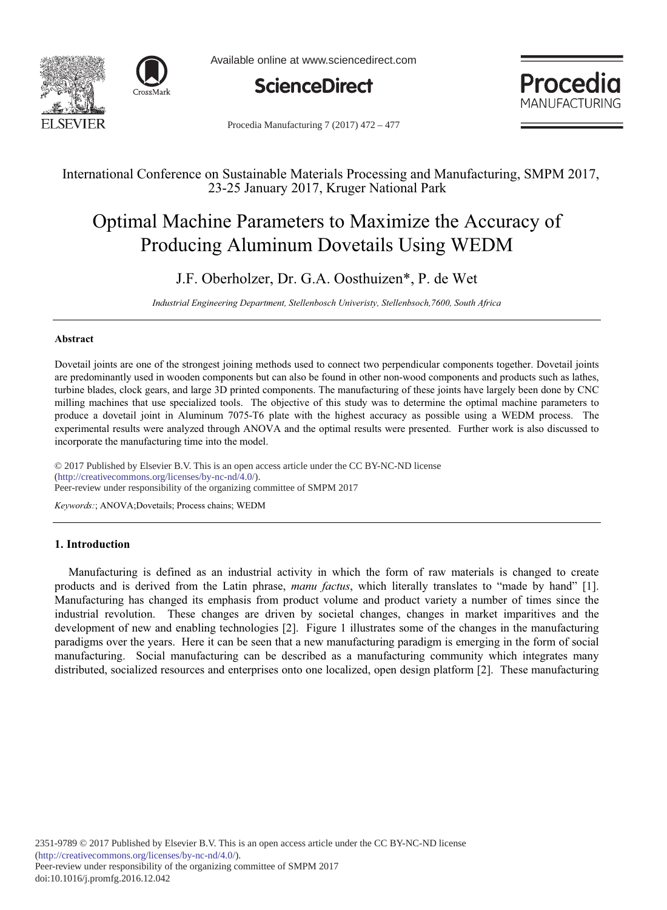

Available online at www.sciencedirect.com





Procedia Manufacturing 7 (2017) 472 – 477

# International Conference on Sustainable Materials Processing and Manufacturing, SMPM 2017, 23-25 January 2017, Kruger National Park

# Optimal Machine Parameters to Maximize the Accuracy of Producing Aluminum Dovetails Using WEDM

# J.F. Oberholzer, Dr. G.A. Oosthuizen\*, P. de Wet

Industrial Engineering Department, Stellenbosch Univeristy, Stellenbsoch,7600, South Africa

# **-**

Dovetail joints are one of the strongest joining methods used to connect two perpendicular components together. Dovetail joints are predominantly used in wooden components but can also be found in other non-wood components and products such as lathes, turbine blades, clock gears, and large 3D printed components. The manufacturing of these joints have largely been done by CNC milling machines that use specialized tools. The objective of this study was to determine the optimal machine parameters to produce a dovetail joint in Aluminum 7075-T6 plate with the highest accuracy as possible using a WEDM process. The experimental results were analyzed through ANOVA and the optimal results were presented. Further work is also discussed to incorporate the manufacturing time into the model.

© 2017 Published by Elsevier B.V. This is an open access article under the CC BY-NC-ND license  $(\text{http://creativecommons.org/licenses/by-nc-nd/4.0/">\n)$ . (http://creativecommons.org/licenses/by-nc-nd/4.0/).<br>Peer-review under responsibility of the organizing committee of SMPM 2017

Keywords:; ANOVA;Dovetails; Process chains; WEDM

# 1. Introduction

Manufacturing is defined as an industrial activity in which the form of raw materials is changed to create products and is derived from the Latin phrase, *manu factus*, which literally translates to "made by hand" [1]. Manufacturing has changed its emphasis from product volume and product variety a number of times since the industrial revolution. These changes are driven by societal changes, changes in market imparitives and the development of new and enabling technologies  $[2]$ . Figure 1 illustrates some of the changes in the manufacturing paradigms over the years. Here it can be seen that a new manufacturing paradigm is emerging in the form of social manufacturing. Social manufacturing can be described as a manufacturing community which integrates many distributed, socialized resources and enterprises onto one localized, open design platform [2]. These manufacturing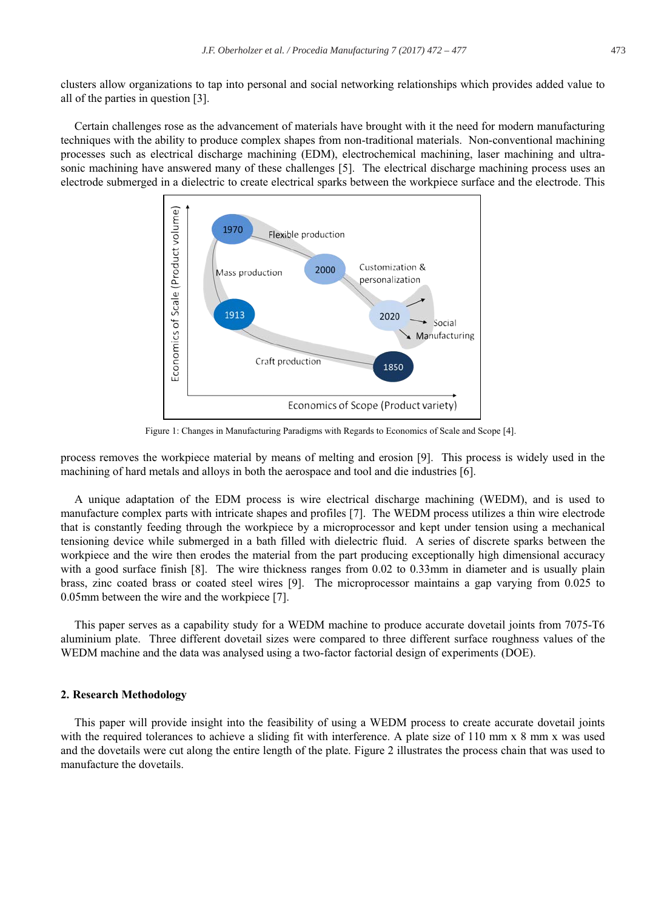clusters allow organizations to tap into personal and social networking relationships which provides added value to all of the parties in question [3].

Certain challenges rose as the advancement of materials have brought with it the need for modern manufacturing techniques with the ability to produce complex shapes from non-traditional materials. Non-conventional machining processes such as electrical discharge machining (EDM), electrochemical machining, laser machining and ultrasonic machining have answered many of these challenges [5]. The electrical discharge machining process uses an electrode submerged in a dielectric to create electrical sparks between the workpiece surface and the electrode. This



Figure 1: Changes in Manufacturing Paradigms with Regards to Economics of Scale and Scope [4].

process removes the workpiece material by means of melting and erosion [9]. This process is widely used in the machining of hard metals and alloys in both the aerospace and tool and die industries [6].

A unique adaptation of the EDM process is wire electrical discharge machining (WEDM), and is used to manufacture complex parts with intricate shapes and profiles [7]. The WEDM process utilizes a thin wire electrode that is constantly feeding through the workpiece by a microprocessor and kept under tension using a mechanical tensioning device while submerged in a bath filled with dielectric fluid. A series of discrete sparks between the workpiece and the wire then erodes the material from the part producing exceptionally high dimensional accuracy with a good surface finish [8]. The wire thickness ranges from  $0.02$  to  $0.33$  mm in diameter and is usually plain brass, zinc coated brass or coated steel wires [9]. The microprocessor maintains a gap varying from 0.025 to 0.05mm between the wire and the workpiece [7].

This paper serves as a capability study for a WEDM machine to produce accurate dovetail joints from 7075-T6 aluminium plate. Three different dovetail sizes were compared to three different surface roughness values of the WEDM machine and the data was analysed using a two-factor factorial design of experiments (DOE).

#### 2. Research Methodology

This paper will provide insight into the feasibility of using a WEDM process to create accurate dovetail joints with the required tolerances to achieve a sliding fit with interference. A plate size of 110 mm x 8 mm x was used and the dovetails were cut along the entire length of the plate. Figure 2 illustrates the process chain that was used to manufacture the dovetails.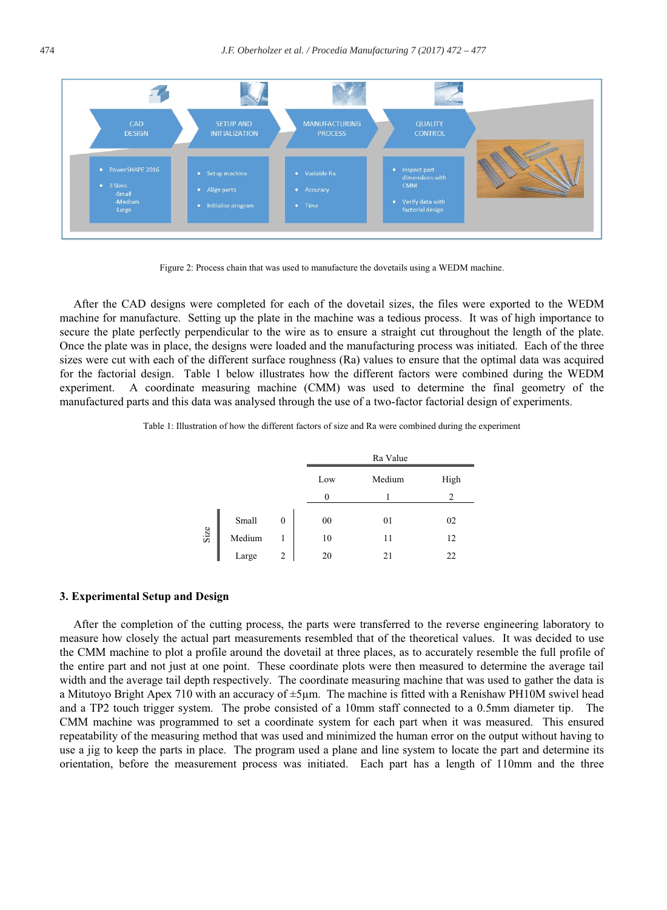

Figure 2: Process chain that was used to manufacture the dovetails using a WEDM machine.

After the CAD designs were completed for each of the dovetail sizes, the files were exported to the WEDM machine for manufacture. Setting up the plate in the machine was a tedious process. It was of high importance to secure the plate perfectly perpendicular to the wire as to ensure a straight cut throughout the length of the plate. Once the plate was in place, the designs were loaded and the manufacturing process was initiated. Each of the three sizes were cut with each of the different surface roughness (Ra) values to ensure that the optimal data was acquired for the factorial design. Table 1 below illustrates how the different factors were combined during the WEDM experiment. A coordinate measuring machine (CMM) was used to determine the final geometry of the manufactured parts and this data was analysed through the use of a two-factor factorial design of experiments.

Table 1: Illustration of how the different factors of size and Ra were combined during the experiment

|      |        |   |     | Ra Value |      |  |  |  |
|------|--------|---|-----|----------|------|--|--|--|
|      |        |   | Low | Medium   | High |  |  |  |
|      |        |   | 0   |          | 2    |  |  |  |
| Size | Small  | 0 | 00  | 01       | 02   |  |  |  |
|      | Medium |   | 10  | 11       | 12   |  |  |  |
|      | Large  | 2 | 20  | 21       | 22   |  |  |  |

#### 3. Experimental Setup and Design

After the completion of the cutting process, the parts were transferred to the reverse engineering laboratory to measure how closely the actual part measurements resembled that of the theoretical values. It was decided to use the CMM machine to plot a profile around the dovetail at three places, as to accurately resemble the full profile of the entire part and not just at one point. These coordinate plots were then measured to determine the average tail width and the average tail depth respectively. The coordinate measuring machine that was used to gather the data is a Mitutoyo Bright Apex 710 with an accuracy of  $\pm 5\mu$ m. The machine is fitted with a Renishaw PH10M swivel head and a TP2 touch trigger system. The probe consisted of a 10mm staff connected to a 0.5mm diameter tip. The CMM machine was programmed to set a coordinate system for each part when it was measured. This ensured repeatability of the measuring method that was used and minimized the human error on the output without having to use a jig to keep the parts in place. The program used a plane and line system to locate the part and determine its orientation, before the measurement process was initiated. Each part has a length of 110mm and the three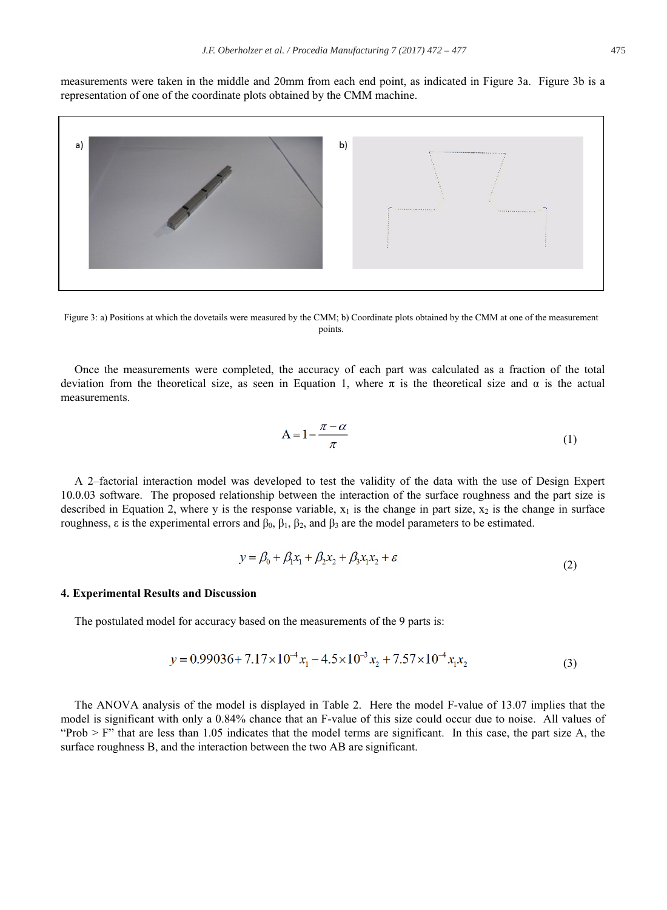measurements were taken in the middle and 20mm from each end point, as indicated in Figure 3a. Figure 3b is a representation of one of the coordinate plots obtained by the CMM machine.



Figure 3: a) Positions at which the dovetails were measured by the CMM; b) Coordinate plots obtained by the CMM at one of the measurement points.

Once the measurements were completed, the accuracy of each part was calculated as a fraction of the total deviation from the theoretical size, as seen in Equation 1, where  $\pi$  is the theoretical size and  $\alpha$  is the actual measurements.

$$
A = 1 - \frac{\pi - \alpha}{\pi} \tag{1}
$$

A 2-factorial interaction model was developed to test the validity of the data with the use of Design Expert 10.0.03 software. The proposed relationship between the interaction of the surface roughness and the part size is described in Equation 2, where y is the response variable,  $x_1$  is the change in part size,  $x_2$  is the change in surface roughness,  $\varepsilon$  is the experimental errors and  $\beta_0$ ,  $\beta_1$ ,  $\beta_2$ , and  $\beta_3$  are the model parameters to be estimated.

$$
y = \beta_0 + \beta_1 x_1 + \beta_2 x_2 + \beta_3 x_1 x_2 + \varepsilon
$$
 (2)

### 4. Experimental Results and Discussion

The postulated model for accuracy based on the measurements of the 9 parts is:

$$
y = 0.99036 + 7.17 \times 10^{-4} x_1 - 4.5 \times 10^{-3} x_2 + 7.57 \times 10^{-4} x_1 x_2 \tag{3}
$$

The ANOVA analysis of the model is displayed in Table 2. Here the model F-value of 13.07 implies that the model is significant with only a 0.84% chance that an F-value of this size could occur due to noise. All values of "Prob  $>$  F" that are less than 1.05 indicates that the model terms are significant. In this case, the part size A, the surface roughness B, and the interaction between the two AB are significant.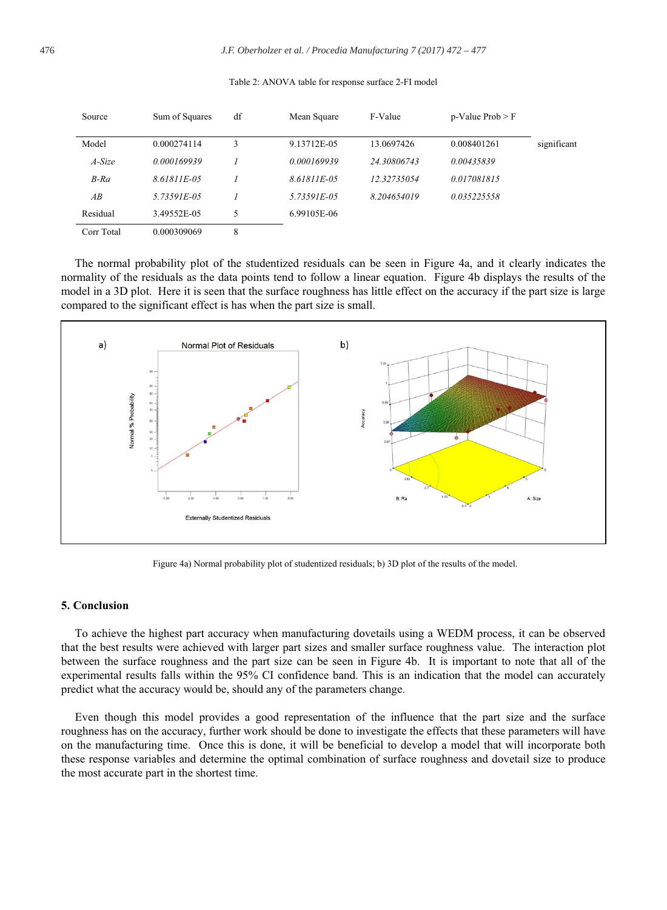| Source     | Sum of Squares | df | Mean Square | F-Value     | $p-Value$ Prob $>$ F |             |
|------------|----------------|----|-------------|-------------|----------------------|-------------|
| Model      | 0.000274114    | 3  | 9.13712E-05 | 13.0697426  | 0.008401261          | significant |
| A-Size     | 0.000169939    |    | 0.000169939 | 24.30806743 | 0.00435839           |             |
| $B$ -Ra    | 8.61811E-05    |    | 8.61811E-05 | 12.32735054 | 0.017081815          |             |
| AB         | 5.73591E-05    |    | 5.73591E-05 | 8.204654019 | 0.035225558          |             |
| Residual   | 3.49552E-05    | 5  | 6.99105E-06 |             |                      |             |
| Corr Total | 0.000309069    | 8  |             |             |                      |             |

#### Table 2: ANOVA table for response surface 2-FI model

The normal probability plot of the studentized residuals can be seen in Figure 4a, and it clearly indicates the normality of the residuals as the data points tend to follow a linear equation. Figure 4b displays the results of the model in a 3D plot. Here it is seen that the surface roughness has little effect on the accuracy if the part size is large compared to the significant effect is has when the part size is small.



Figure 4a) Normal probability plot of studentized residuals; b) 3D plot of the results of the model.

# 5. Conclusion

To achieve the highest part accuracy when manufacturing dovetails using a WEDM process, it can be observed that the best results were achieved with larger part sizes and smaller surface roughness value. The interaction plot between the surface roughness and the part size can be seen in Figure 4b. It is important to note that all of the experimental results falls within the 95% CI confidence band. This is an indication that the model can accurately predict what the accuracy would be, should any of the parameters change.

Even though this model provides a good representation of the influence that the part size and the surface roughness has on the accuracy, further work should be done to investigate the effects that these parameters will have on the manufacturing time. Once this is done, it will be beneficial to develop a model that will incorporate both these response variables and determine the optimal combination of surface roughness and dovetail size to produce the most accurate part in the shortest time.